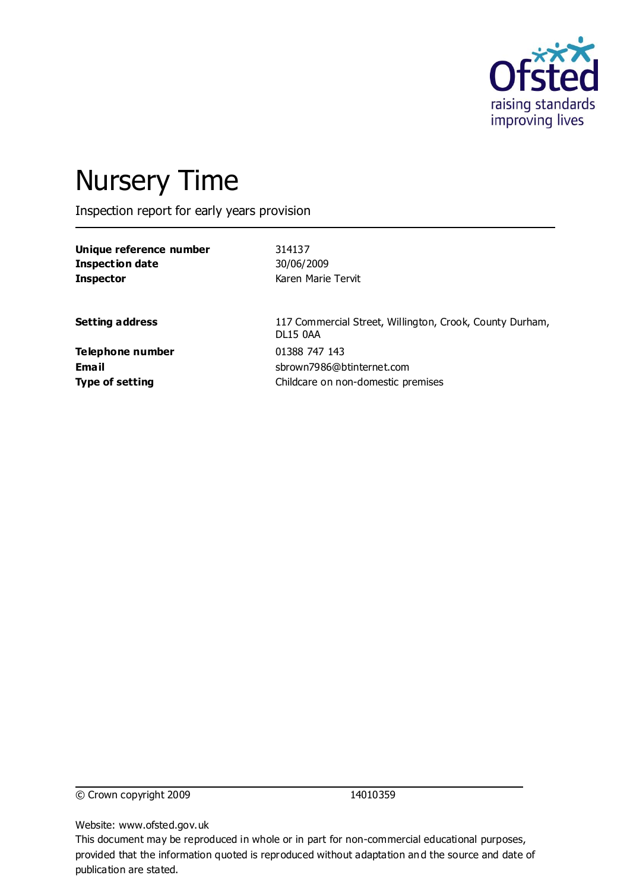

# Nursery Time

Inspection report for early years provision

**Unique reference number** 314137 **Inspection date** 30/06/2009 **Inspector** Karen Marie Tervit

**Setting address** 117 Commercial Street, Willington, Crook, County Durham, DL15 0AA **Email** sbrown7986@btinternet.com **Type of setting** Childcare on non-domestic premises

**Telephone number** 01388 747 143

© Crown copyright 2009 14010359

Website: www.ofsted.gov.uk

This document may be reproduced in whole or in part for non-commercial educational purposes, provided that the information quoted is reproduced without adaptation and the source and date of publication are stated.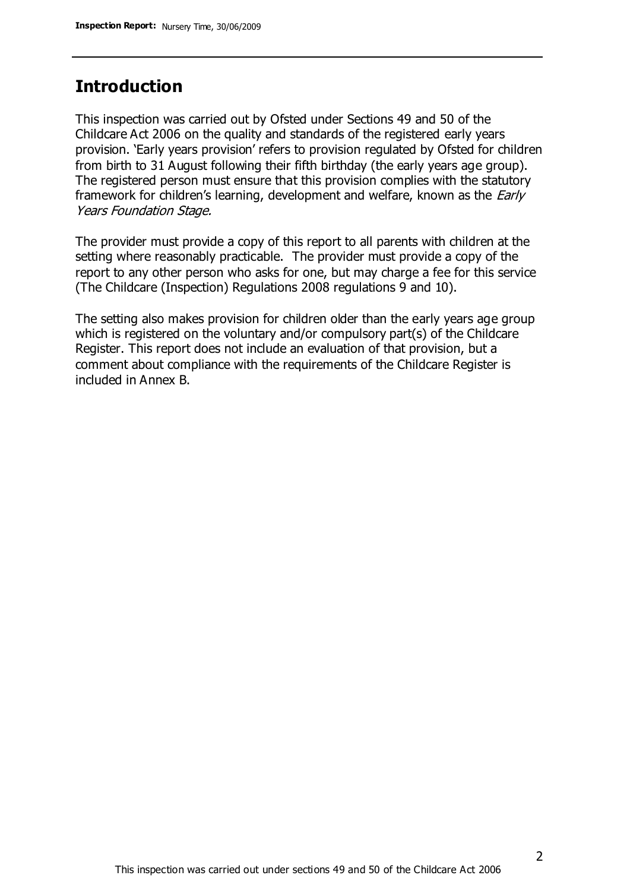# **Introduction**

This inspection was carried out by Ofsted under Sections 49 and 50 of the Childcare Act 2006 on the quality and standards of the registered early years provision. 'Early years provision' refers to provision regulated by Ofsted for children from birth to 31 August following their fifth birthday (the early years age group). The registered person must ensure that this provision complies with the statutory framework for children's learning, development and welfare, known as the *Early* Years Foundation Stage.

The provider must provide a copy of this report to all parents with children at the setting where reasonably practicable. The provider must provide a copy of the report to any other person who asks for one, but may charge a fee for this service (The Childcare (Inspection) Regulations 2008 regulations 9 and 10).

The setting also makes provision for children older than the early years age group which is registered on the voluntary and/or compulsory part(s) of the Childcare Register. This report does not include an evaluation of that provision, but a comment about compliance with the requirements of the Childcare Register is included in Annex B.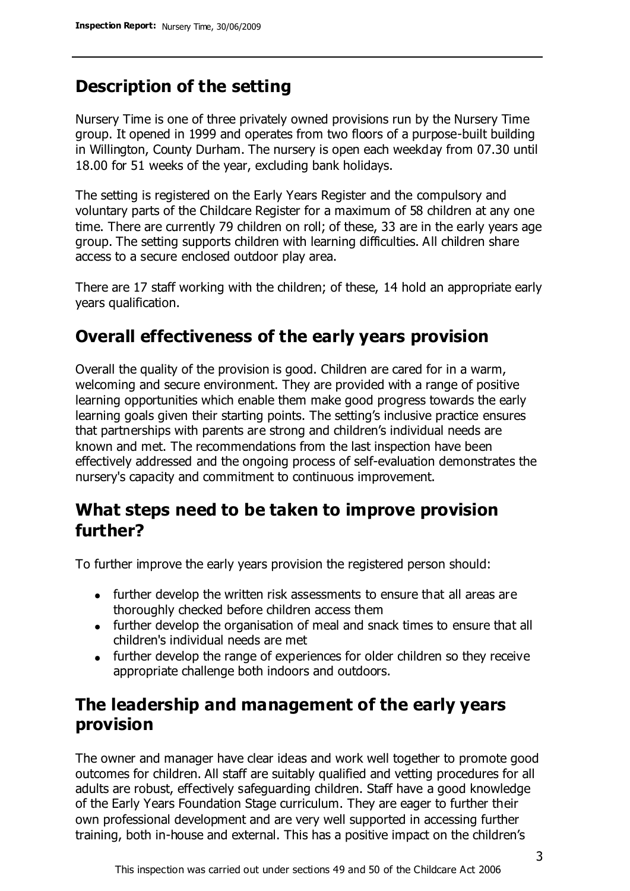# **Description of the setting**

Nursery Time is one of three privately owned provisions run by the Nursery Time group. It opened in 1999 and operates from two floors of a purpose-built building in Willington, County Durham. The nursery is open each weekday from 07.30 until 18.00 for 51 weeks of the year, excluding bank holidays.

The setting is registered on the Early Years Register and the compulsory and voluntary parts of the Childcare Register for a maximum of 58 children at any one time. There are currently 79 children on roll; of these, 33 are in the early years age group. The setting supports children with learning difficulties. All children share access to a secure enclosed outdoor play area.

There are 17 staff working with the children; of these, 14 hold an appropriate early years qualification.

## **Overall effectiveness of the early years provision**

Overall the quality of the provision is good. Children are cared for in a warm, welcoming and secure environment. They are provided with a range of positive learning opportunities which enable them make good progress towards the early learning goals given their starting points. The setting's inclusive practice ensures that partnerships with parents are strong and children's individual needs are known and met. The recommendations from the last inspection have been effectively addressed and the ongoing process of self-evaluation demonstrates the nursery's capacity and commitment to continuous improvement.

# **What steps need to be taken to improve provision further?**

To further improve the early years provision the registered person should:

- further develop the written risk assessments to ensure that all areas are thoroughly checked before children access them
- further develop the organisation of meal and snack times to ensure that all children's individual needs are met
- further develop the range of experiences for older children so they receive appropriate challenge both indoors and outdoors.

# **The leadership and management of the early years provision**

The owner and manager have clear ideas and work well together to promote good outcomes for children. All staff are suitably qualified and vetting procedures for all adults are robust, effectively safeguarding children. Staff have a good knowledge of the Early Years Foundation Stage curriculum. They are eager to further their own professional development and are very well supported in accessing further training, both in-house and external. This has a positive impact on the children's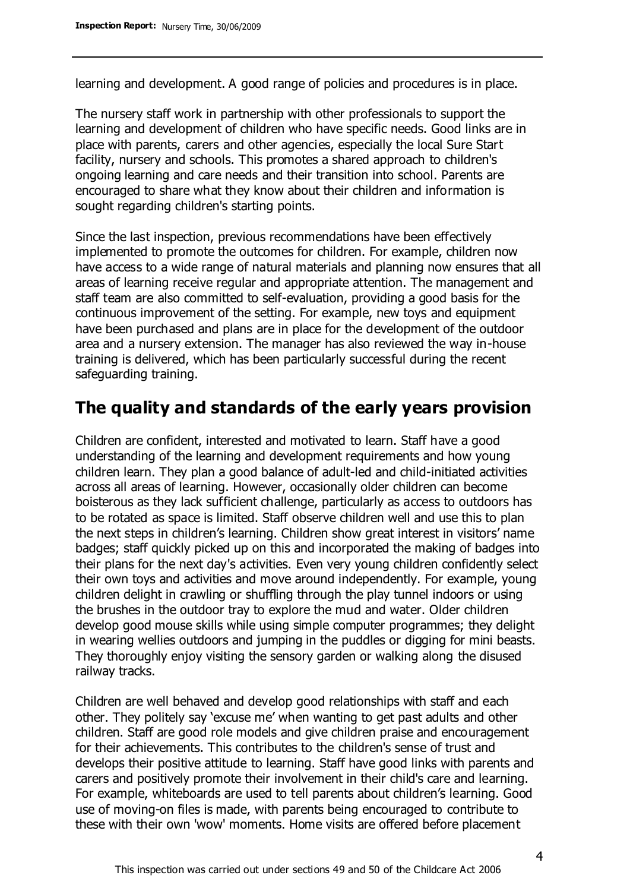learning and development. A good range of policies and procedures is in place.

The nursery staff work in partnership with other professionals to support the learning and development of children who have specific needs. Good links are in place with parents, carers and other agencies, especially the local Sure Start facility, nursery and schools. This promotes a shared approach to children's ongoing learning and care needs and their transition into school. Parents are encouraged to share what they know about their children and information is sought regarding children's starting points.

Since the last inspection, previous recommendations have been effectively implemented to promote the outcomes for children. For example, children now have access to a wide range of natural materials and planning now ensures that all areas of learning receive regular and appropriate attention. The management and staff team are also committed to self-evaluation, providing a good basis for the continuous improvement of the setting. For example, new toys and equipment have been purchased and plans are in place for the development of the outdoor area and a nursery extension. The manager has also reviewed the way in-house training is delivered, which has been particularly successful during the recent safeguarding training.

## **The quality and standards of the early years provision**

Children are confident, interested and motivated to learn. Staff have a good understanding of the learning and development requirements and how young children learn. They plan a good balance of adult-led and child-initiated activities across all areas of learning. However, occasionally older children can become boisterous as they lack sufficient challenge, particularly as access to outdoors has to be rotated as space is limited. Staff observe children well and use this to plan the next steps in children's learning. Children show great interest in visitors' name badges; staff quickly picked up on this and incorporated the making of badges into their plans for the next day's activities. Even very young children confidently select their own toys and activities and move around independently. For example, young children delight in crawling or shuffling through the play tunnel indoors or using the brushes in the outdoor tray to explore the mud and water. Older children develop good mouse skills while using simple computer programmes; they delight in wearing wellies outdoors and jumping in the puddles or digging for mini beasts. They thoroughly enjoy visiting the sensory garden or walking along the disused railway tracks.

Children are well behaved and develop good relationships with staff and each other. They politely say 'excuse me' when wanting to get past adults and other children. Staff are good role models and give children praise and encouragement for their achievements. This contributes to the children's sense of trust and develops their positive attitude to learning. Staff have good links with parents and carers and positively promote their involvement in their child's care and learning. For example, whiteboards are used to tell parents about children's learning. Good use of moving-on files is made, with parents being encouraged to contribute to these with their own 'wow' moments. Home visits are offered before placement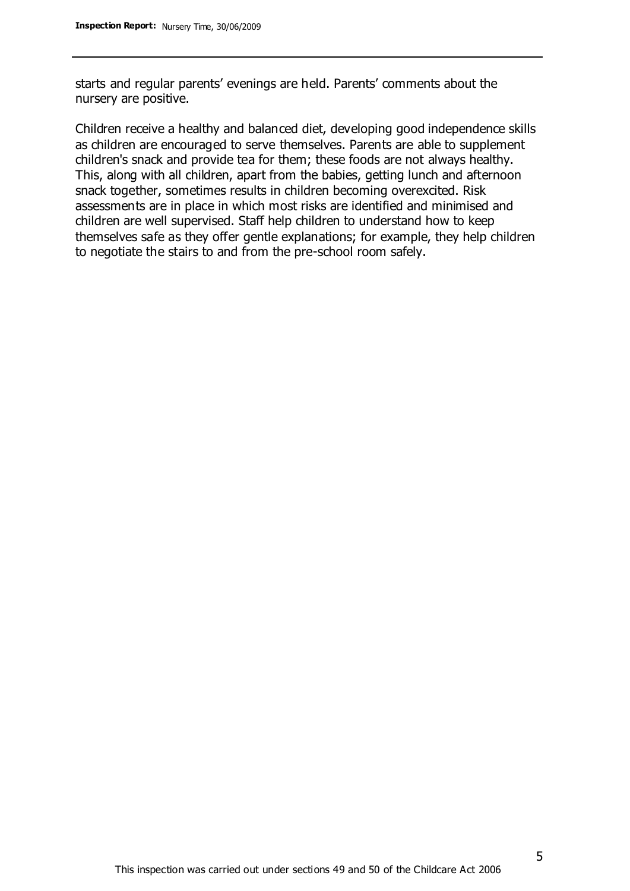starts and regular parents' evenings are held. Parents' comments about the nursery are positive.

Children receive a healthy and balanced diet, developing good independence skills as children are encouraged to serve themselves. Parents are able to supplement children's snack and provide tea for them; these foods are not always healthy. This, along with all children, apart from the babies, getting lunch and afternoon snack together, sometimes results in children becoming overexcited. Risk assessments are in place in which most risks are identified and minimised and children are well supervised. Staff help children to understand how to keep themselves safe as they offer gentle explanations; for example, they help children to negotiate the stairs to and from the pre-school room safely.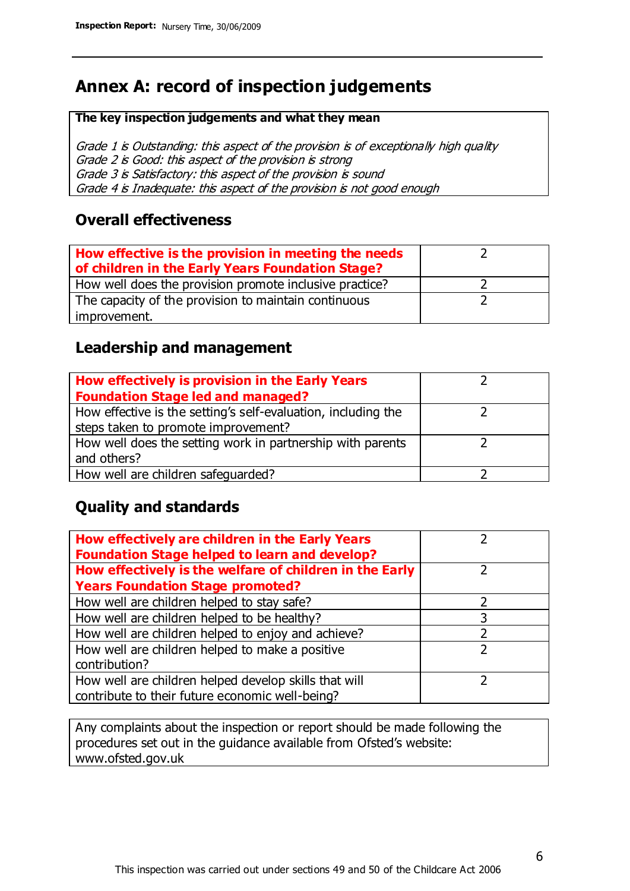# **Annex A: record of inspection judgements**

#### **The key inspection judgements and what they mean**

Grade 1 is Outstanding: this aspect of the provision is of exceptionally high quality Grade 2 is Good: this aspect of the provision is strong Grade 3 is Satisfactory: this aspect of the provision is sound Grade 4 is Inadequate: this aspect of the provision is not good enough

#### **Overall effectiveness**

| How effective is the provision in meeting the needs<br>of children in the Early Years Foundation Stage? |  |
|---------------------------------------------------------------------------------------------------------|--|
| How well does the provision promote inclusive practice?                                                 |  |
| The capacity of the provision to maintain continuous                                                    |  |
| improvement.                                                                                            |  |

### **Leadership and management**

| How effectively is provision in the Early Years               |  |
|---------------------------------------------------------------|--|
| <b>Foundation Stage led and managed?</b>                      |  |
| How effective is the setting's self-evaluation, including the |  |
| steps taken to promote improvement?                           |  |
| How well does the setting work in partnership with parents    |  |
| and others?                                                   |  |
| How well are children safeguarded?                            |  |

## **Quality and standards**

| How effectively are children in the Early Years<br><b>Foundation Stage helped to learn and develop?</b> |               |
|---------------------------------------------------------------------------------------------------------|---------------|
| How effectively is the welfare of children in the Early                                                 |               |
| <b>Years Foundation Stage promoted?</b>                                                                 |               |
| How well are children helped to stay safe?                                                              | っ             |
| How well are children helped to be healthy?                                                             |               |
| How well are children helped to enjoy and achieve?                                                      | າ             |
| How well are children helped to make a positive                                                         | $\mathcal{P}$ |
| contribution?                                                                                           |               |
| How well are children helped develop skills that will                                                   |               |
| contribute to their future economic well-being?                                                         |               |

Any complaints about the inspection or report should be made following the procedures set out in the guidance available from Ofsted's website: www.ofsted.gov.uk